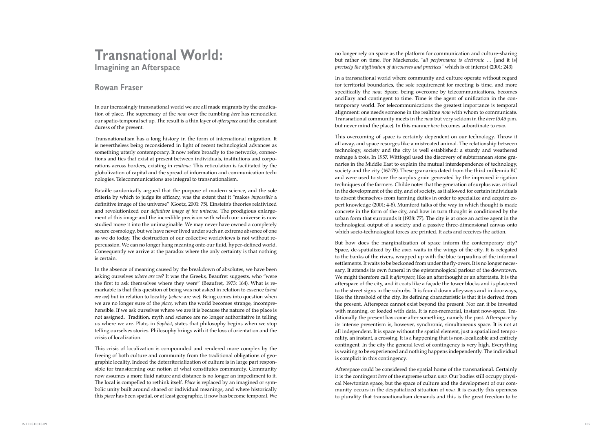no longer rely on space as the platform for communication and culture-sharing but rather on time. For Mackenzie, "*all performance is electronic …* [and it is] *precisely the digitisation of discourses and practices"* which is of interest (2001: 243).

In a transnational world where community and culture operate without regard for territorial boundaries, the sole requirement for meeting is time, and more specifically the *now*. Space, being overcome by telecommunications, becomes ancillary and contingent to time. Time is the agent of unification in the con temporary world. For telecommunications the greatest importance is temporal alignment: one needs someone in the realtime *now* with whom to communicate. Transnational community meets in the *now* but very seldom in the *here* (5.45 p.m. but never mind the place). In this manner *here* becomes subordinate to *now.* 

This overcoming of space is certainly dependent on our technology. Throw it all away, and space resurges like a mistreated animal. The relationship between technology, society and the city is well established: a sturdy and weathered ménage à trois. In 1957, Wittfogel used the discovery of subterranean stone granaries in the Middle East to explain the mutual interdependence of technology, society and the city (167-78). These granaries dated from the third millennia BC and were used to store the surplus grain generated by the improved irrigation techniques of the farmers. Childe notes that the generation of surplus was critical in the development of the city, and of society, as it allowed for certain individuals to absent themselves from farming duties in order to specialize and acquire expert knowledge (2001: 4-8). Mumford talks of the way in which thought is made concrete in the form of the city, and how in turn thought is conditioned by the urban form that surrounds it (1938: 77). The city is at once an active agent in the technological output of a society and a passive three-dimensional canvas onto which socio-technological forces are printed. It acts and receives the action.

But how does the marginalization of space inform the contemporary city? Space, de-spatialized by the *now*, waits in the wings of the city. It is relegated to the banks of the rivers, wrapped up with the blue tarpaulins of the informal settlements. It waits to be beckoned from under the fly-overs. It is no longer necessary. It attends its own funeral in the epistemological parlour of the downtown. We might therefore call it *afterspace*, like an afterthought or an aftertaste. It is the afterspace of the city, and it coats like a façade the tower blocks and is plastered to the street signs in the suburbs. It is found down alleyways and in doorways, like the threshold of the city. Its defining characteristic is that it is derived from the present. Afterspace cannot exist beyond the present. Nor can it be invested with meaning, or loaded with data. It is non-memorial, instant now-space. Traditionally the present has come after something, namely the past. Afterspace by its intense presentism is, however, synchronic, simultaneous space. It is not at all independent. It is space without the spatial element, just a spatialized temporality, an instant, a crossing. It is a happening that is non-localizable and entirely contingent. In the city the general level of contingency is very high. Everything is waiting to be experienced and nothing happens independently. The individual is complicit in this contingency.

Afterspace could be considered the spatial home of the transnational. Certainly it is the contingent *here* of the supreme urban *now.* Our bodies still occupy physical Newtonian space, but the space of culture and the development of our community occurs in the despatialized situation of *now*. It is exactly this openness to plurality that transnationalism demands and this is the great freedom to be

## **Transnational World:**

**Imagining an Afterspace**

## **Rowan Fraser**

In our increasingly transnational world we are all made migrants by the eradication of place. The supremacy of the *now* over the fumbling *here* has remodelled our spatio-temporal set up. The result is a thin layer of *afterspace* and the constant duress of the present.

Transnationalism has a long history in the form of international migration. It is nevertheless being reconsidered in light of recent technological advances as something utterly contemporary. It now refers broadly to the networks, connections and ties that exist at present between individuals, institutions and corporations across borders, existing in *realtime.* This reticulation is facilitated by the globalization of capital and the spread of information and communication technologies. Telecommunications are integral to transnationalism.

Bataille sardonically argued that the purpose of modern science, and the sole criteria by which to judge its efficacy, was the extent that it "makes *impossible* a definitive image of the universe" (Goetz, 2001: 75). Einstein's theories relativized and revolutionized our *definitive image of the universe.* The prodigious enlargement of this image and the incredible precision with which our universe is now studied move it into the unimaginable. We may never have owned a completely secure cosmology, but we have never lived under such an extreme absence of one as we do today. The destruction of our collective worldviews is not without repercussion. We can no longer hang meaning onto our fluid, hyper-defined world. Consequently we arrive at the paradox where the only certainty is that nothing is certain.

In the absence of meaning caused by the breakdown of absolutes, we have been asking ourselves *where are we*? It was the Greeks, Beaufret suggests, who "were the first to ask themselves where they were" (Beaufret, 1973: 164). What is re markable is that this question of being was not asked in relation to essence (*what are we*) but in relation to locality (*where* are we). Being comes into question when we are no longer sure of the *place*, when the world becomes strange, incomprehensible. If we ask ourselves where we are it is because the nature of the place is not assigned. Tradition, myth and science are no longer authoritative in telling us where we are. Plato, in *Sophist*, states that philosophy begins when we stop telling ourselves stories. Philosophy brings with it the loss of orientation and the crisis of localization.

This crisis of localization is compounded and rendered more complex by the freeing of both culture and community from the traditional obligations of geographic locality. Indeed the deterritorialization of culture is in large part responsible for transforming our notion of what constitutes community. Community now assumes a more fluid nature and distance is no longer an impediment to it. The local is compelled to rethink itself. *Place* is replaced by an imagined or symbolic unity built around shared or individual meanings, and where historically this *place* has been spatial, or at least geographic, it now has become temporal. We